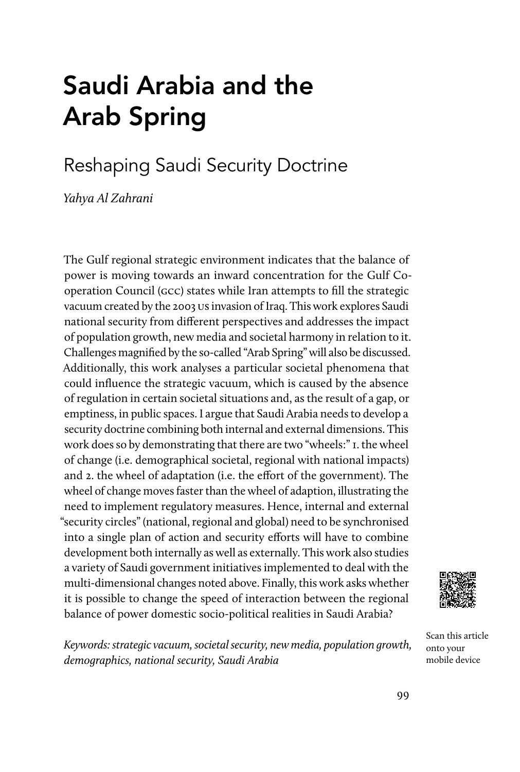# Saudi Arabia and the Arab Spring

# Reshaping Saudi Security Doctrine

Yahya Al Zahrani

The Gulf regional strategic environment indicates that the balance of power is moving towards an inward concentration for the Gulf Cooperation Council (gcc) states while Iran attempts to fill the strategic vacuum created by the 2003 us invasion of Iraq. This work explores Saudi national security from different perspectives and addresses the impact of population growth, new media and societal harmony in relation to it. Challenges magnified by the so-called "Arab Spring" will also be discussed. Additionally, this work analyses a particular societal phenomena that could influence the strategic vacuum, which is caused by the absence of regulation in certain societal situations and, as the result of a gap, or emptiness, in public spaces. I argue that Saudi Arabia needs to develop a security doctrine combining both internal and external dimensions. This work does so by demonstrating that there are two "wheels:" 1. the wheel of change (i.e. demographical societal, regional with national impacts) and 2. the wheel of adaptation (i.e. the effort of the government). The wheel of change moves faster than the wheel of adaption, illustrating the need to implement regulatory measures. Hence, internal and external "security circles" (national, regional and global) need to be synchronised into a single plan of action and security efforts will have to combine development both internally as well as externally. This work also studies a variety of Saudi government initiatives implemented to deal with the multi-dimensional changes noted above. Finally, this work asks whether it is possible to change the speed of interaction between the regional balance of power domestic socio-political realities in Saudi Arabia?



Keywords: strategic vacuum, societal security, new media, population growth, demographics, national security, Saudi Arabia

Scan this article onto your mobile device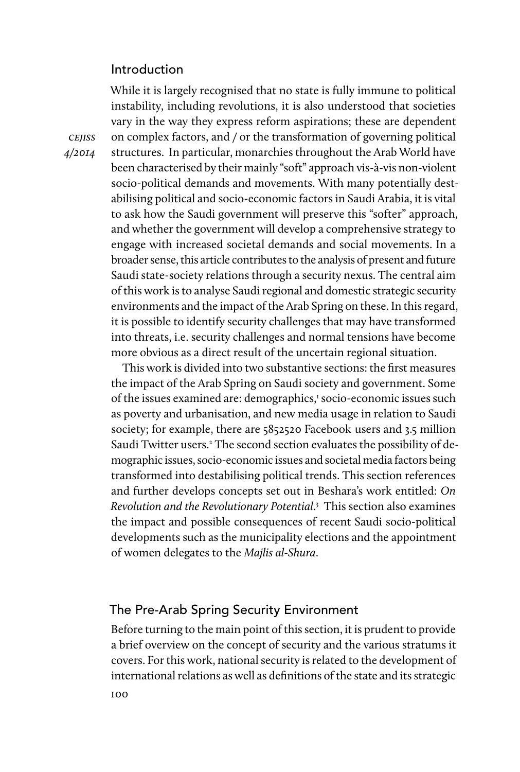# Introduction

While it is largely recognised that no state is fully immune to political instability, including revolutions, it is also understood that societies vary in the way they express reform aspirations; these are dependent on complex factors, and / or the transformation of governing political structures. In particular, monarchies throughout the Arab World have been characterised by their mainly "soft" approach vis-à-vis non-violent socio-political demands and movements. With many potentially destabilising political and socio-economic factors in Saudi Arabia, it is vital to ask how the Saudi government will preserve this "softer" approach, and whether the government will develop a comprehensive strategy to engage with increased societal demands and social movements. In a broader sense, this article contributes to the analysis of present and future Saudi state-society relations through a security nexus. The central aim of this work is to analyse Saudi regional and domestic strategic security environments and the impact of the Arab Spring on these. In this regard, it is possible to identify security challenges that may have transformed into threats, i.e. security challenges and normal tensions have become more obvious as a direct result of the uncertain regional situation.

This work is divided into two substantive sections: the first measures the impact of the Arab Spring on Saudi society and government. Some of the issues examined are: demographics,<sup>1</sup> socio-economic issues such as poverty and urbanisation, and new media usage in relation to Saudi society; for example, there are 5852520 Facebook users and 3.5 million Saudi Twitter users.<sup>2</sup> The second section evaluates the possibility of demographic issues, socio-economic issues and societal media factors being transformed into destabilising political trends. This section references and further develops concepts set out in Beshara's work entitled: On Revolution and the Revolutionary Potential. 3 This section also examines the impact and possible consequences of recent Saudi socio-political developments such as the municipality elections and the appointment of women delegates to the Majlis al-Shura.

# The Pre-Arab Spring Security Environment

100 Before turning to the main point of this section, it is prudent to provide a brief overview on the concept of security and the various stratums it covers. For this work, national security is related to the development of international relations as well as definitions of the state and its strategic

**CEJISS** 4/2014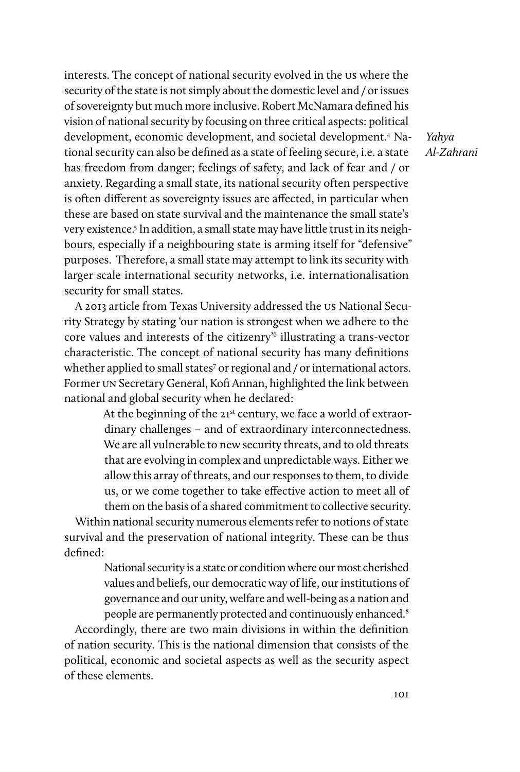interests. The concept of national security evolved in the us where the security of the state is not simply about the domestic level and / or issues of sovereignty but much more inclusive. Robert McNamara defined his vision of national security by focusing on three critical aspects: political development, economic development, and societal development.4 National security can also be defined as a state of feeling secure, i.e. a state has freedom from danger; feelings of safety, and lack of fear and / or anxiety. Regarding a small state, its national security often perspective is often different as sovereignty issues are affected, in particular when these are based on state survival and the maintenance the small state's very existence.5 In addition, a small state may have little trust in its neighbours, especially if a neighbouring state is arming itself for "defensive" purposes. Therefore, a small state may attempt to link its security with larger scale international security networks, i.e. internationalisation security for small states.

A 2013 article from Texas University addressed the us National Security Strategy by stating 'our nation is strongest when we adhere to the core values and interests of the citizenry'6 illustrating a trans-vector characteristic. The concept of national security has many definitions whether applied to small states<sup>7</sup> or regional and / or international actors. Former un Secretary General, Kofi Annan, highlighted the link between national and global security when he declared:

> At the beginning of the 21<sup>st</sup> century, we face a world of extraordinary challenges – and of extraordinary interconnectedness. We are all vulnerable to new security threats, and to old threats that are evolving in complex and unpredictable ways. Either we allow this array of threats, and our responses to them, to divide us, or we come together to take effective action to meet all of them on the basis of a shared commitment to collective security.

Within national security numerous elements refer to notions of state survival and the preservation of national integrity. These can be thus defined:

> National security is a state or condition where our most cherished values and beliefs, our democratic way of life, our institutions of governance and our unity, welfare and well-being as a nation and people are permanently protected and continuously enhanced.<sup>8</sup>

Accordingly, there are two main divisions in within the definition of nation security. This is the national dimension that consists of the political, economic and societal aspects as well as the security aspect of these elements.

Yahya Al-Zahrani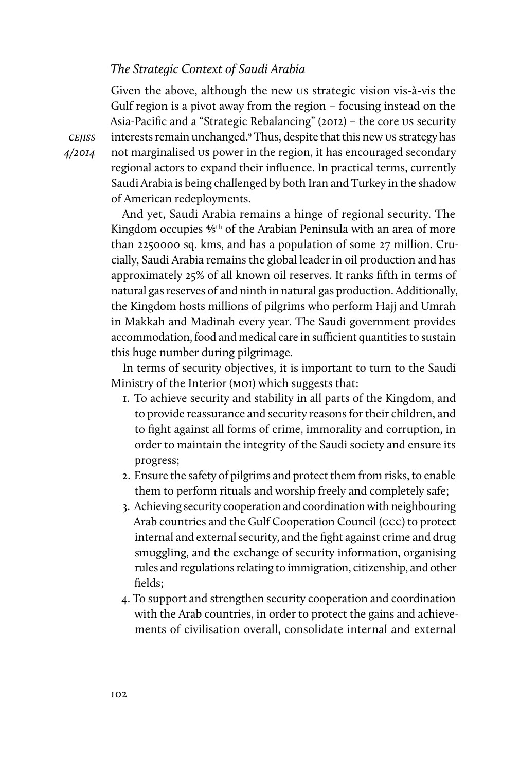#### The Strategic Context of Saudi Arabia

Given the above, although the new us strategic vision vis-à-vis the Gulf region is a pivot away from the region – focusing instead on the Asia-Pacific and a "Strategic Rebalancing" (2012) – the core us security interests remain unchanged.9 Thus, despite that this new us strategy has not marginalised us power in the region, it has encouraged secondary regional actors to expand their influence. In practical terms, currently Saudi Arabia is being challenged by both Iran and Turkey in the shadow of American redeployments.

And yet, Saudi Arabia remains a hinge of regional security. The Kingdom occupies <sup>4/5th</sup> of the Arabian Peninsula with an area of more than 2250000 sq. kms, and has a population of some 27 million. Crucially, Saudi Arabia remains the global leader in oil production and has approximately 25% of all known oil reserves. It ranks fifth in terms of natural gas reserves of and ninth in natural gas production. Additionally, the Kingdom hosts millions of pilgrims who perform Hajj and Umrah in Makkah and Madinah every year. The Saudi government provides accommodation, food and medical care in sufficient quantities to sustain this huge number during pilgrimage.

In terms of security objectives, it is important to turn to the Saudi Ministry of the Interior (MOI) which suggests that:

- 1. To achieve security and stability in all parts of the Kingdom, and to provide reassurance and security reasons for their children, and to fight against all forms of crime, immorality and corruption, in order to maintain the integrity of the Saudi society and ensure its progress;
- 2. Ensure the safety of pilgrims and protect them from risks, to enable them to perform rituals and worship freely and completely safe;
- 3. Achieving security cooperation and coordination with neighbouring Arab countries and the Gulf Cooperation Council (gcc) to protect internal and external security, and the fight against crime and drug smuggling, and the exchange of security information, organising rules and regulations relating to immigration, citizenship, and other fields;
- 4. To support and strengthen security cooperation and coordination with the Arab countries, in order to protect the gains and achievements of civilisation overall, consolidate internal and external

**CEJISS** 4/2014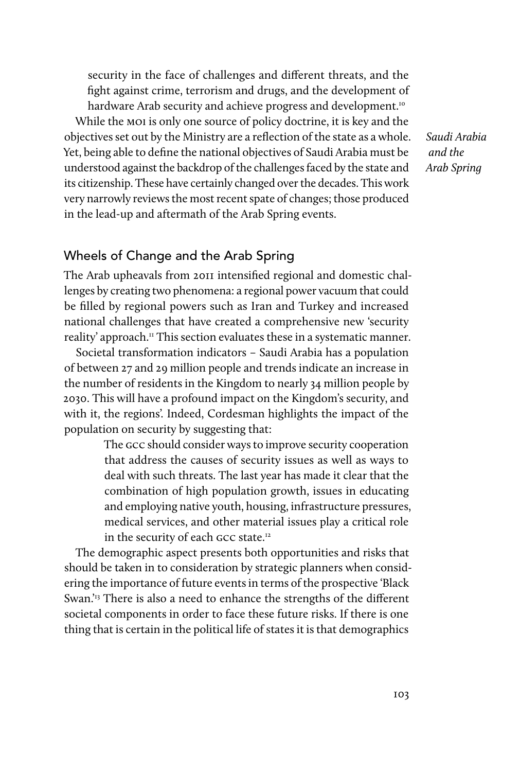security in the face of challenges and different threats, and the fight against crime, terrorism and drugs, and the development of hardware Arab security and achieve progress and development.<sup>10</sup>

While the moi is only one source of policy doctrine, it is key and the objectives set out by the Ministry are a reflection of the state as a whole. Yet, being able to define the national objectives of Saudi Arabia must be understood against the backdrop of the challenges faced by the state and its citizenship. These have certainly changed over the decades. This work very narrowly reviews the most recent spate of changes; those produced in the lead-up and aftermath of the Arab Spring events.

Saudi Arabia and the Arab Spring

# Wheels of Change and the Arab Spring

The Arab upheavals from 2011 intensified regional and domestic challenges by creating two phenomena: a regional power vacuum that could be filled by regional powers such as Iran and Turkey and increased national challenges that have created a comprehensive new 'security reality' approach.<sup>11</sup> This section evaluates these in a systematic manner.

Societal transformation indicators – Saudi Arabia has a population of between 27 and 29 million people and trends indicate an increase in the number of residents in the Kingdom to nearly 34 million people by 2030. This will have a profound impact on the Kingdom's security, and with it, the regions'. Indeed, Cordesman highlights the impact of the population on security by suggesting that:

> The gcc should consider ways to improve security cooperation that address the causes of security issues as well as ways to deal with such threats. The last year has made it clear that the combination of high population growth, issues in educating and employing native youth, housing, infrastructure pressures, medical services, and other material issues play a critical role in the security of each GCC state.<sup>12</sup>

The demographic aspect presents both opportunities and risks that should be taken in to consideration by strategic planners when considering the importance of future events in terms of the prospective 'Black Swan.<sup>'13</sup> There is also a need to enhance the strengths of the different societal components in order to face these future risks. If there is one thing that is certain in the political life of states it is that demographics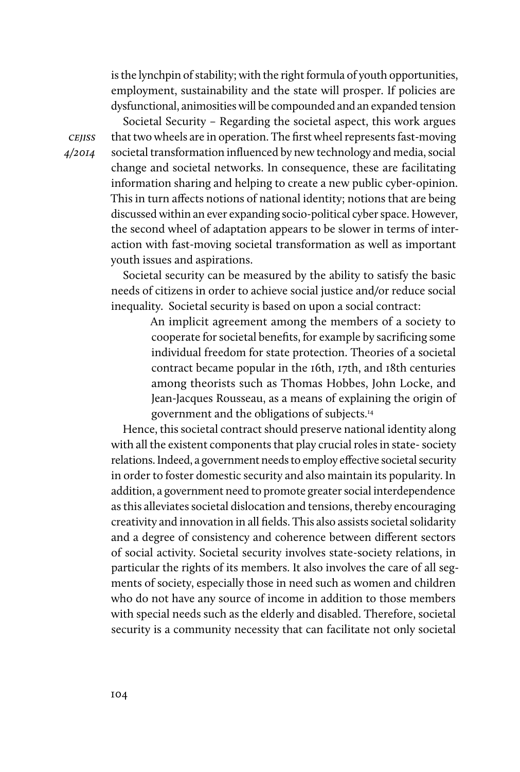is the lynchpin of stability; with the right formula of youth opportunities, employment, sustainability and the state will prosper. If policies are dysfunctional, animosities will be compounded and an expanded tension

**CEJISS** 4/2014

Societal Security – Regarding the societal aspect, this work argues that two wheels are in operation. The first wheel represents fast-moving societal transformation influenced by new technology and media, social change and societal networks. In consequence, these are facilitating information sharing and helping to create a new public cyber-opinion. This in turn affects notions of national identity; notions that are being discussed within an ever expanding socio-political cyber space. However, the second wheel of adaptation appears to be slower in terms of interaction with fast-moving societal transformation as well as important youth issues and aspirations.

Societal security can be measured by the ability to satisfy the basic needs of citizens in order to achieve social justice and/or reduce social inequality. Societal security is based on upon a social contract:

> An implicit agreement among the members of a society to cooperate for societal benefits, for example by sacrificing some individual freedom for state protection. Theories of a societal contract became popular in the 16th, 17th, and 18th centuries among theorists such as Thomas Hobbes, John Locke, and Jean-Jacques Rousseau, as a means of explaining the origin of government and the obligations of subjects.14

Hence, this societal contract should preserve national identity along with all the existent components that play crucial roles in state- society relations. Indeed, a government needs to employ effective societal security in order to foster domestic security and also maintain its popularity. In addition, a government need to promote greater social interdependence as this alleviates societal dislocation and tensions, thereby encouraging creativity and innovation in all fields. This also assists societal solidarity and a degree of consistency and coherence between different sectors of social activity. Societal security involves state-society relations, in particular the rights of its members. It also involves the care of all segments of society, especially those in need such as women and children who do not have any source of income in addition to those members with special needs such as the elderly and disabled. Therefore, societal security is a community necessity that can facilitate not only societal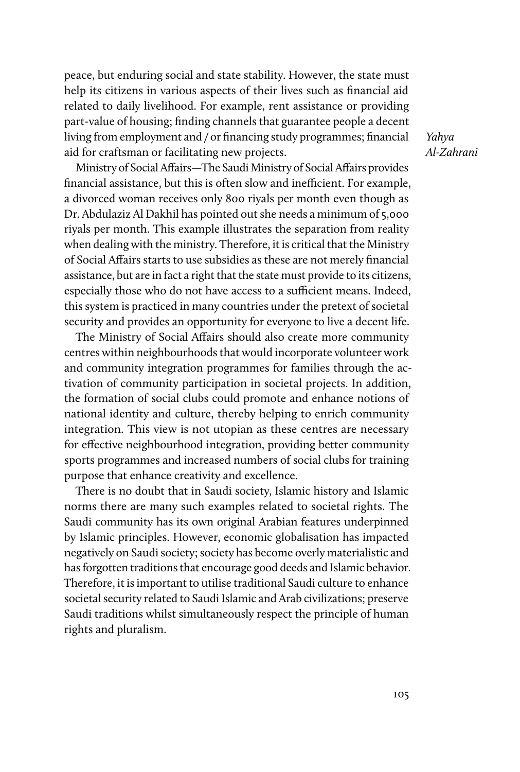peace, but enduring social and state stability. However, the state must help its citizens in various aspects of their lives such as financial aid related to daily livelihood. For example, rent assistance or providing part-value of housing; finding channels that guarantee people a decent living from employment and / or financing study programmes; financial aid for craftsman or facilitating new projects.

Yahya Al-Zahrani

Ministry of Social Affairs—The Saudi Ministry of Social Affairs provides financial assistance, but this is often slow and inefficient. For example, a divorced woman receives only 800 riyals per month even though as Dr. Abdulaziz Al Dakhil has pointed out she needs a minimum of 5,000 riyals per month. This example illustrates the separation from reality when dealing with the ministry. Therefore, it is critical that the Ministry of Social Affairs starts to use subsidies as these are not merely financial assistance, but are in fact a right that the state must provide to its citizens, especially those who do not have access to a sufficient means. Indeed, this system is practiced in many countries under the pretext of societal security and provides an opportunity for everyone to live a decent life.

The Ministry of Social Affairs should also create more community centres within neighbourhoods that would incorporate volunteer work and community integration programmes for families through the activation of community participation in societal projects. In addition, the formation of social clubs could promote and enhance notions of national identity and culture, thereby helping to enrich community integration. This view is not utopian as these centres are necessary for effective neighbourhood integration, providing better community sports programmes and increased numbers of social clubs for training purpose that enhance creativity and excellence.

There is no doubt that in Saudi society, Islamic history and Islamic norms there are many such examples related to societal rights. The Saudi community has its own original Arabian features underpinned by Islamic principles. However, economic globalisation has impacted negatively on Saudi society; society has become overly materialistic and has forgotten traditions that encourage good deeds and Islamic behavior. Therefore, it is important to utilise traditional Saudi culture to enhance societal security related to Saudi Islamic and Arab civilizations; preserve Saudi traditions whilst simultaneously respect the principle of human rights and pluralism.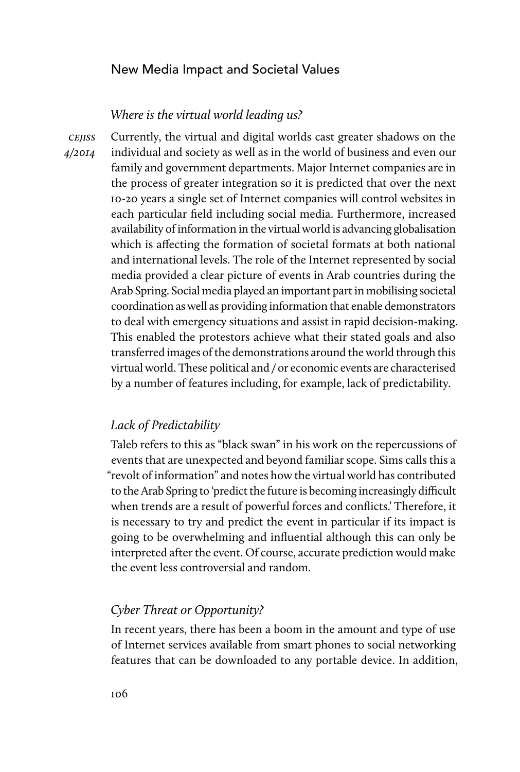# New Media Impact and Societal Values

# Where is the virtual world leading us?

**CEJISS** 4/2014

Currently, the virtual and digital worlds cast greater shadows on the individual and society as well as in the world of business and even our family and government departments. Major Internet companies are in the process of greater integration so it is predicted that over the next 10-20 years a single set of Internet companies will control websites in each particular field including social media. Furthermore, increased availability of information in the virtual world is advancing globalisation which is affecting the formation of societal formats at both national and international levels. The role of the Internet represented by social media provided a clear picture of events in Arab countries during the Arab Spring. Social media played an important part in mobilising societal coordination as well as providing information that enable demonstrators to deal with emergency situations and assist in rapid decision-making. This enabled the protestors achieve what their stated goals and also transferred images of the demonstrations around the world through this virtual world. These political and / or economic events are characterised by a number of features including, for example, lack of predictability.

#### Lack of Predictability

Taleb refers to this as "black swan" in his work on the repercussions of events that are unexpected and beyond familiar scope. Sims calls this a "revolt of information" and notes how the virtual world has contributed to the Arab Spring to 'predict the future is becoming increasingly difficult when trends are a result of powerful forces and conflicts.' Therefore, it is necessary to try and predict the event in particular if its impact is going to be overwhelming and influential although this can only be interpreted after the event. Of course, accurate prediction would make the event less controversial and random.

# Cyber Threat or Opportunity?

In recent years, there has been a boom in the amount and type of use of Internet services available from smart phones to social networking features that can be downloaded to any portable device. In addition,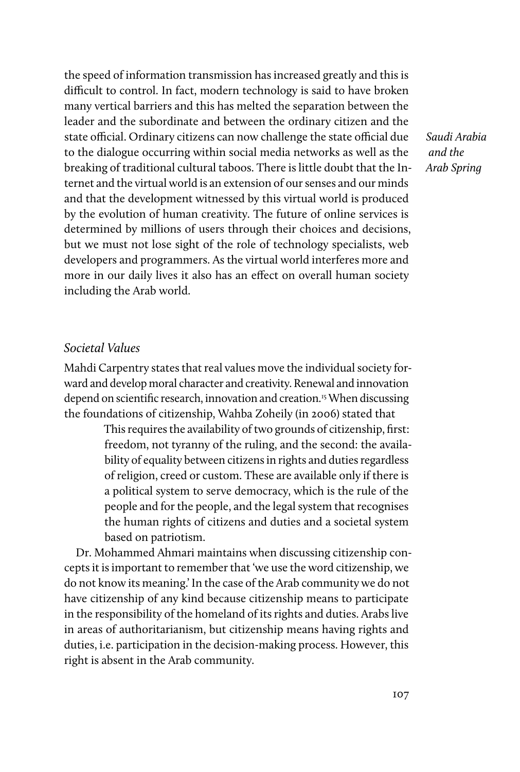the speed of information transmission has increased greatly and this is difficult to control. In fact, modern technology is said to have broken many vertical barriers and this has melted the separation between the leader and the subordinate and between the ordinary citizen and the state official. Ordinary citizens can now challenge the state official due to the dialogue occurring within social media networks as well as the breaking of traditional cultural taboos. There is little doubt that the Internet and the virtual world is an extension of our senses and our minds and that the development witnessed by this virtual world is produced by the evolution of human creativity. The future of online services is determined by millions of users through their choices and decisions, but we must not lose sight of the role of technology specialists, web developers and programmers. As the virtual world interferes more and more in our daily lives it also has an effect on overall human society including the Arab world.

#### Societal Values

Mahdi Carpentry states that real values move the individual society forward and develop moral character and creativity. Renewal and innovation depend on scientific research, innovation and creation.<sup>15</sup> When discussing the foundations of citizenship, Wahba Zoheily (in 2006) stated that

> This requires the availability of two grounds of citizenship, first: freedom, not tyranny of the ruling, and the second: the availability of equality between citizens in rights and duties regardless of religion, creed or custom. These are available only if there is a political system to serve democracy, which is the rule of the people and for the people, and the legal system that recognises the human rights of citizens and duties and a societal system based on patriotism.

Dr. Mohammed Ahmari maintains when discussing citizenship concepts it is important to remember that 'we use the word citizenship, we do not know its meaning.' In the case of the Arab community we do not have citizenship of any kind because citizenship means to participate in the responsibility of the homeland of its rights and duties. Arabs live in areas of authoritarianism, but citizenship means having rights and duties, i.e. participation in the decision-making process. However, this right is absent in the Arab community.

Saudi Arabia and the Arab Spring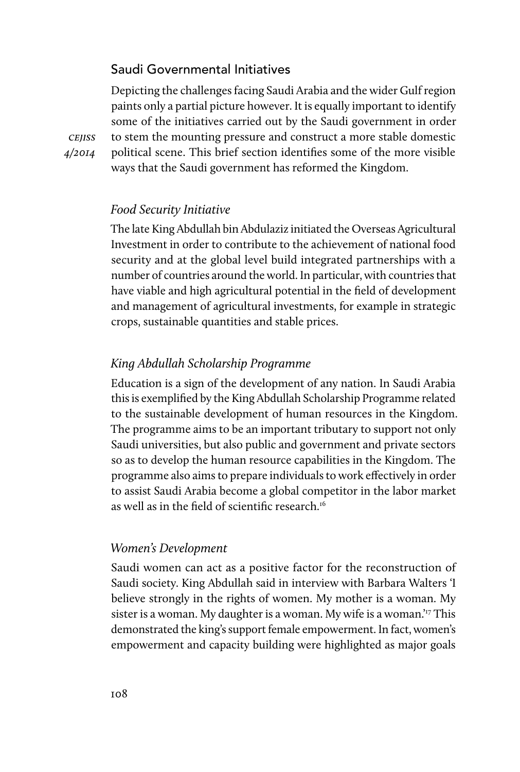# Saudi Governmental Initiatives

Depicting the challenges facing Saudi Arabia and the wider Gulf region paints only a partial picture however. It is equally important to identify some of the initiatives carried out by the Saudi government in order to stem the mounting pressure and construct a more stable domestic political scene. This brief section identifies some of the more visible ways that the Saudi government has reformed the Kingdom.

**CEJISS** 4/2014

#### Food Security Initiative

The late King Abdullah bin Abdulaziz initiated the Overseas Agricultural Investment in order to contribute to the achievement of national food security and at the global level build integrated partnerships with a number of countries around the world. In particular, with countries that have viable and high agricultural potential in the field of development and management of agricultural investments, for example in strategic crops, sustainable quantities and stable prices.

### King Abdullah Scholarship Programme

Education is a sign of the development of any nation. In Saudi Arabia this is exemplified by the King Abdullah Scholarship Programme related to the sustainable development of human resources in the Kingdom. The programme aims to be an important tributary to support not only Saudi universities, but also public and government and private sectors so as to develop the human resource capabilities in the Kingdom. The programme also aims to prepare individuals to work effectively in order to assist Saudi Arabia become a global competitor in the labor market as well as in the field of scientific research.16

#### Women's Development

Saudi women can act as a positive factor for the reconstruction of Saudi society. King Abdullah said in interview with Barbara Walters 'I believe strongly in the rights of women. My mother is a woman. My sister is a woman. My daughter is a woman. My wife is a woman.<sup>'17</sup> This demonstrated the king's support female empowerment. In fact, women's empowerment and capacity building were highlighted as major goals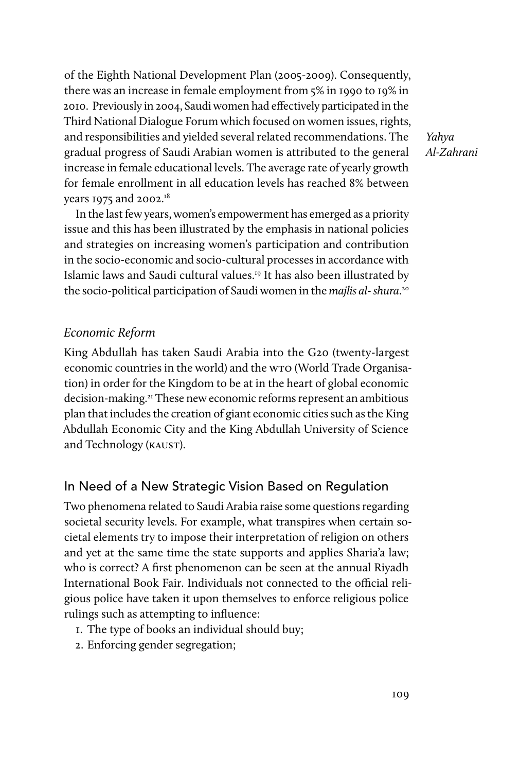of the Eighth National Development Plan (2005-2009). Consequently, there was an increase in female employment from 5% in 1990 to 19% in 2010. Previously in 2004, Saudi women had effectively participated in the Third National Dialogue Forum which focused on women issues, rights, and responsibilities and yielded several related recommendations. The gradual progress of Saudi Arabian women is attributed to the general increase in female educational levels. The average rate of yearly growth for female enrollment in all education levels has reached 8% between years 1975 and 2002.18

Yahya Al-Zahrani

In the last few years, women's empowerment has emerged as a priority issue and this has been illustrated by the emphasis in national policies and strategies on increasing women's participation and contribution in the socio-economic and socio-cultural processes in accordance with Islamic laws and Saudi cultural values.19 It has also been illustrated by the socio-political participation of Saudi women in the majlis al-shura.<sup>20</sup>

### Economic Reform

King Abdullah has taken Saudi Arabia into the G20 (twenty-largest economic countries in the world) and the wto (World Trade Organisation) in order for the Kingdom to be at in the heart of global economic decision-making.<sup>21</sup> These new economic reforms represent an ambitious plan that includes the creation of giant economic cities such as the King Abdullah Economic City and the King Abdullah University of Science and Technology (kaust).

# In Need of a New Strategic Vision Based on Regulation

Two phenomena related to Saudi Arabia raise some questions regarding societal security levels. For example, what transpires when certain societal elements try to impose their interpretation of religion on others and yet at the same time the state supports and applies Sharia'a law; who is correct? A first phenomenon can be seen at the annual Riyadh International Book Fair. Individuals not connected to the official religious police have taken it upon themselves to enforce religious police rulings such as attempting to influence:

- 1. The type of books an individual should buy;
- 2. Enforcing gender segregation;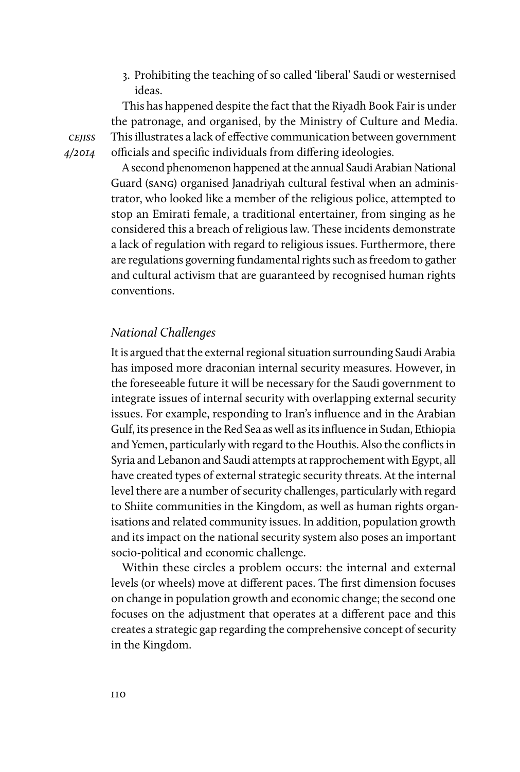3. Prohibiting the teaching of so called 'liberal' Saudi or westernised ideas.

This has happened despite the fact that the Riyadh Book Fair is under the patronage, and organised, by the Ministry of Culture and Media. This illustrates a lack of effective communication between government officials and specific individuals from differing ideologies.

A second phenomenon happened at the annual Saudi Arabian National Guard (sang) organised Janadriyah cultural festival when an administrator, who looked like a member of the religious police, attempted to stop an Emirati female, a traditional entertainer, from singing as he considered this a breach of religious law. These incidents demonstrate a lack of regulation with regard to religious issues. Furthermore, there are regulations governing fundamental rights such as freedom to gather and cultural activism that are guaranteed by recognised human rights conventions.

## National Challenges

It is argued that the external regional situation surrounding Saudi Arabia has imposed more draconian internal security measures. However, in the foreseeable future it will be necessary for the Saudi government to integrate issues of internal security with overlapping external security issues. For example, responding to Iran's influence and in the Arabian Gulf, its presence in the Red Sea as well as its influence in Sudan, Ethiopia and Yemen, particularly with regard to the Houthis. Also the conflicts in Syria and Lebanon and Saudi attempts at rapprochement with Egypt, all have created types of external strategic security threats. At the internal level there are a number of security challenges, particularly with regard to Shiite communities in the Kingdom, as well as human rights organisations and related community issues. In addition, population growth and its impact on the national security system also poses an important socio-political and economic challenge.

Within these circles a problem occurs: the internal and external levels (or wheels) move at different paces. The first dimension focuses on change in population growth and economic change; the second one focuses on the adjustment that operates at a different pace and this creates a strategic gap regarding the comprehensive concept of security in the Kingdom.

**CEJISS** 4/2014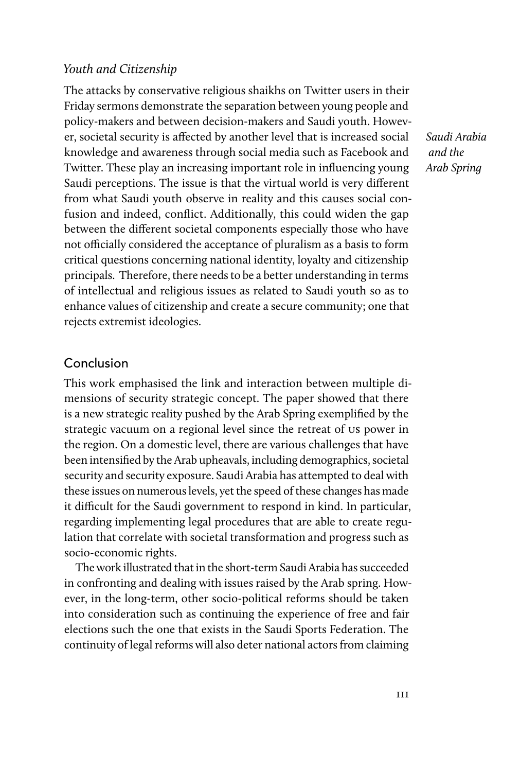# Youth and Citizenship

The attacks by conservative religious shaikhs on Twitter users in their Friday sermons demonstrate the separation between young people and policy-makers and between decision-makers and Saudi youth. However, societal security is affected by another level that is increased social knowledge and awareness through social media such as Facebook and Twitter. These play an increasing important role in influencing young Saudi perceptions. The issue is that the virtual world is very different from what Saudi youth observe in reality and this causes social confusion and indeed, conflict. Additionally, this could widen the gap between the different societal components especially those who have not officially considered the acceptance of pluralism as a basis to form critical questions concerning national identity, loyalty and citizenship principals. Therefore, there needs to be a better understanding in terms of intellectual and religious issues as related to Saudi youth so as to enhance values of citizenship and create a secure community; one that rejects extremist ideologies.

#### Conclusion

This work emphasised the link and interaction between multiple dimensions of security strategic concept. The paper showed that there is a new strategic reality pushed by the Arab Spring exemplified by the strategic vacuum on a regional level since the retreat of us power in the region. On a domestic level, there are various challenges that have been intensified by the Arab upheavals, including demographics, societal security and security exposure. Saudi Arabia has attempted to deal with these issues on numerous levels, yet the speed of these changes has made it difficult for the Saudi government to respond in kind. In particular, regarding implementing legal procedures that are able to create regulation that correlate with societal transformation and progress such as socio-economic rights.

The work illustrated that in the short-term Saudi Arabia has succeeded in confronting and dealing with issues raised by the Arab spring. However, in the long-term, other socio-political reforms should be taken into consideration such as continuing the experience of free and fair elections such the one that exists in the Saudi Sports Federation. The continuity of legal reforms will also deter national actors from claiming

Saudi Arabia and the Arab Spring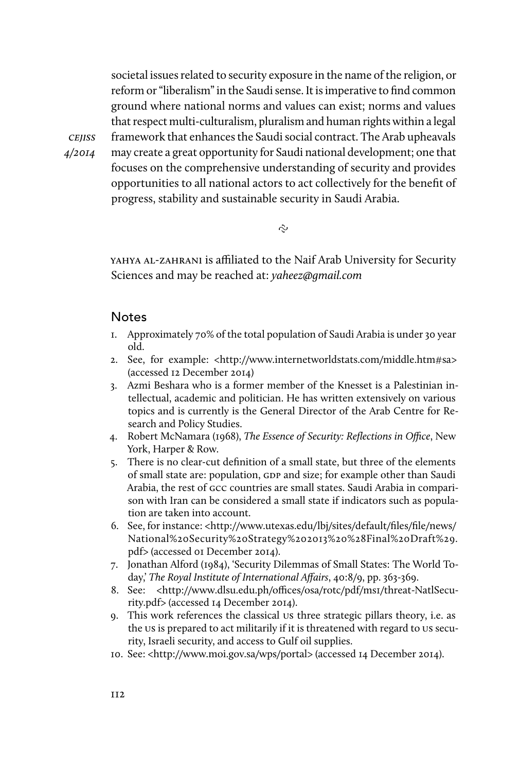societal issues related to security exposure in the name of the religion, or reform or "liberalism" in the Saudi sense. It is imperative to find common ground where national norms and values can exist; norms and values that respect multi-culturalism, pluralism and human rights within a legal framework that enhances the Saudi social contract. The Arab upheavals may create a great opportunity for Saudi national development; one that focuses on the comprehensive understanding of security and provides opportunities to all national actors to act collectively for the benefit of progress, stability and sustainable security in Saudi Arabia.

 $\tilde{\sim}$ 

YAHYA AL-ZAHRANI is affiliated to the Naif Arab University for Security Sciences and may be reached at: y[aheez@gmail.com](mailto:Yaheez@gmail.com)

# **Notes**

cejiss 4/2014

- 1. Approximately 70% of the total population of Saudi Arabia is under 30 year old.
- 2. See, for example: <http://www.internetworldstats.com/middle.htm#sa> (accessed 12 December 2014)
- 3. Azmi Beshara who is a former member of the Knesset is a Palestinian intellectual, academic and politician. He has written extensively on various topics and is currently is the General Director of the Arab Centre for Research and Policy Studies.
- 4. Robert McNamara (1968), The Essence of Security: Reflections in Office, New York, Harper & Row.
- 5. There is no clear-cut definition of a small state, but three of the elements of small state are: population, GDP and size; for example other than Saudi Arabia, the rest of gcc countries are small states. Saudi Arabia in comparison with Iran can be considered a small state if indicators such as population are taken into account.
- 6. See, for instance: <http://www.utexas.edu/lbj/sites/default/files/file/news/ National%20Security%20Strategy%202013%20%28Final%20Draft%29. pdf> (accessed 01 December 2014).
- 7. Jonathan Alford (1984), 'Security Dilemmas of Small States: The World Today,' The Royal Institute of International Affairs, 40:8/9, pp. 363-369.
- 8. See: <http://www.dlsu.edu.ph/offices/osa/rotc/pdf/ms1/threat-NatlSecurity.pdf> (accessed 14 December 2014).
- 9. This work references the classical us three strategic pillars theory, i.e. as the us is prepared to act militarily if it is threatened with regard to us security, Israeli security, and access to Gulf oil supplies.
- 10. See: <http://www.moi.gov.sa/wps/portal> (accessed 14 December 2014).